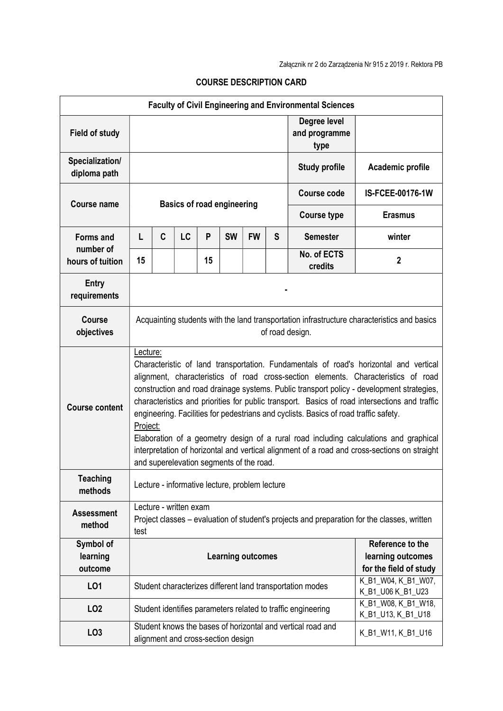| <b>Faculty of Civil Engineering and Environmental Sciences</b> |                                                                                                                                                                                                                                                                                                                                                                                                                                                                                                                                                                                                                                                                                                                                |   |    |    |           |                                             |                                       |                                                                                                           |                  |  |  |
|----------------------------------------------------------------|--------------------------------------------------------------------------------------------------------------------------------------------------------------------------------------------------------------------------------------------------------------------------------------------------------------------------------------------------------------------------------------------------------------------------------------------------------------------------------------------------------------------------------------------------------------------------------------------------------------------------------------------------------------------------------------------------------------------------------|---|----|----|-----------|---------------------------------------------|---------------------------------------|-----------------------------------------------------------------------------------------------------------|------------------|--|--|
| <b>Field of study</b>                                          |                                                                                                                                                                                                                                                                                                                                                                                                                                                                                                                                                                                                                                                                                                                                |   |    |    |           |                                             | Degree level<br>and programme<br>type |                                                                                                           |                  |  |  |
| Specialization/<br>diploma path                                |                                                                                                                                                                                                                                                                                                                                                                                                                                                                                                                                                                                                                                                                                                                                |   |    |    |           |                                             |                                       | <b>Study profile</b>                                                                                      | Academic profile |  |  |
| <b>Course name</b>                                             | <b>Basics of road engineering</b>                                                                                                                                                                                                                                                                                                                                                                                                                                                                                                                                                                                                                                                                                              |   |    |    |           |                                             |                                       | Course code                                                                                               | IS-FCEE-00176-1W |  |  |
|                                                                |                                                                                                                                                                                                                                                                                                                                                                                                                                                                                                                                                                                                                                                                                                                                |   |    |    |           |                                             |                                       | <b>Course type</b>                                                                                        | <b>Erasmus</b>   |  |  |
| <b>Forms and</b>                                               | L                                                                                                                                                                                                                                                                                                                                                                                                                                                                                                                                                                                                                                                                                                                              | C | LC | P  | <b>SW</b> | <b>FW</b>                                   | S                                     | <b>Semester</b>                                                                                           | winter           |  |  |
| number of<br>hours of tuition                                  | 15                                                                                                                                                                                                                                                                                                                                                                                                                                                                                                                                                                                                                                                                                                                             |   |    | 15 |           |                                             |                                       | No. of ECTS<br>credits                                                                                    | $\boldsymbol{2}$ |  |  |
| <b>Entry</b><br>requirements                                   |                                                                                                                                                                                                                                                                                                                                                                                                                                                                                                                                                                                                                                                                                                                                |   |    |    |           |                                             |                                       |                                                                                                           |                  |  |  |
| <b>Course</b><br>objectives                                    | Acquainting students with the land transportation infrastructure characteristics and basics<br>of road design.                                                                                                                                                                                                                                                                                                                                                                                                                                                                                                                                                                                                                 |   |    |    |           |                                             |                                       |                                                                                                           |                  |  |  |
| <b>Course content</b>                                          | Lecture:<br>Characteristic of land transportation. Fundamentals of road's horizontal and vertical<br>alignment, characteristics of road cross-section elements. Characteristics of road<br>construction and road drainage systems. Public transport policy - development strategies,<br>characteristics and priorities for public transport. Basics of road intersections and traffic<br>engineering. Facilities for pedestrians and cyclists. Basics of road traffic safety.<br>Project:<br>Elaboration of a geometry design of a rural road including calculations and graphical<br>interpretation of horizontal and vertical alignment of a road and cross-sections on straight<br>and superelevation segments of the road. |   |    |    |           |                                             |                                       |                                                                                                           |                  |  |  |
| <b>Teaching</b><br>methods                                     | Lecture - informative lecture, problem lecture                                                                                                                                                                                                                                                                                                                                                                                                                                                                                                                                                                                                                                                                                 |   |    |    |           |                                             |                                       |                                                                                                           |                  |  |  |
| <b>Assessment</b><br>method                                    | Lecture - written exam<br>Project classes – evaluation of student's projects and preparation for the classes, written<br>test                                                                                                                                                                                                                                                                                                                                                                                                                                                                                                                                                                                                  |   |    |    |           |                                             |                                       |                                                                                                           |                  |  |  |
| Symbol of<br>learning<br>outcome                               | Reference to the<br><b>Learning outcomes</b>                                                                                                                                                                                                                                                                                                                                                                                                                                                                                                                                                                                                                                                                                   |   |    |    |           | learning outcomes<br>for the field of study |                                       |                                                                                                           |                  |  |  |
| L01                                                            | Student characterizes different land transportation modes                                                                                                                                                                                                                                                                                                                                                                                                                                                                                                                                                                                                                                                                      |   |    |    |           | K_B1_W04, K_B1_W07,<br>K_B1_U06 K_B1_U23    |                                       |                                                                                                           |                  |  |  |
| LO <sub>2</sub>                                                |                                                                                                                                                                                                                                                                                                                                                                                                                                                                                                                                                                                                                                                                                                                                |   |    |    |           |                                             |                                       | K_B1_W08, K_B1_W18,<br>Student identifies parameters related to traffic engineering<br>K_B1_U13, K_B1_U18 |                  |  |  |
| LO <sub>3</sub>                                                | Student knows the bases of horizontal and vertical road and<br>K_B1_W11, K_B1_U16<br>alignment and cross-section design                                                                                                                                                                                                                                                                                                                                                                                                                                                                                                                                                                                                        |   |    |    |           |                                             |                                       |                                                                                                           |                  |  |  |

## COURSE DESCRIPTION CARD